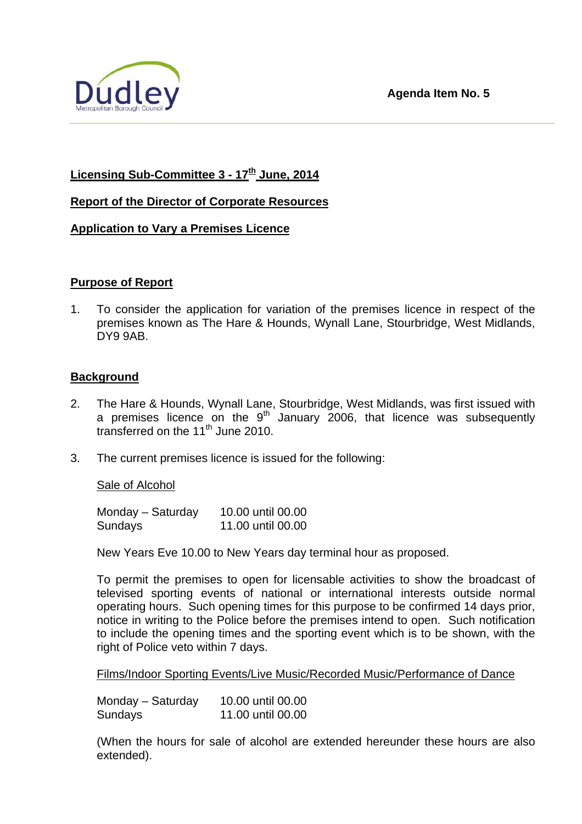

# **Licensing Sub-Committee 3 - 17th June, 2014**

### **Report of the Director of Corporate Resources**

### **Application to Vary a Premises Licence**

### **Purpose of Report**

1. To consider the application for variation of the premises licence in respect of the premises known as The Hare & Hounds, Wynall Lane, Stourbridge, West Midlands, DY9 9AB.

### **Background**

- 2. The Hare & Hounds, Wynall Lane, Stourbridge, West Midlands, was first issued with a premises licence on the  $9<sup>th</sup>$  January 2006, that licence was subsequently transferred on the  $11<sup>th</sup>$  June 2010.
- 3. The current premises licence is issued for the following:

### Sale of Alcohol

Monday – Saturday 10.00 until 00.00 Sundays 11.00 until 00.00

New Years Eve 10.00 to New Years day terminal hour as proposed.

To permit the premises to open for licensable activities to show the broadcast of televised sporting events of national or international interests outside normal operating hours. Such opening times for this purpose to be confirmed 14 days prior, notice in writing to the Police before the premises intend to open. Such notification to include the opening times and the sporting event which is to be shown, with the right of Police veto within 7 days.

Films/Indoor Sporting Events/Live Music/Recorded Music/Performance of Dance

| Monday – Saturday | 10.00 until 00.00 |
|-------------------|-------------------|
| Sundays           | 11.00 until 00.00 |

(When the hours for sale of alcohol are extended hereunder these hours are also extended).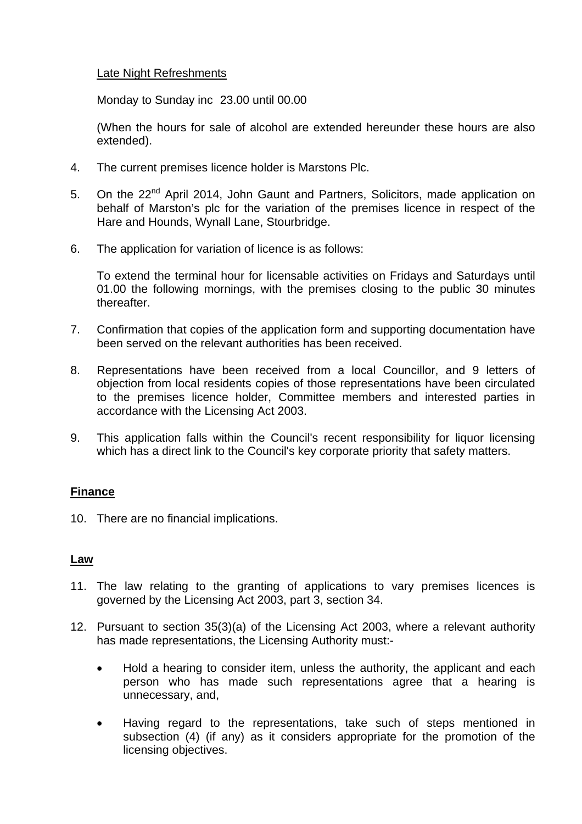### Late Night Refreshments

Monday to Sunday inc 23.00 until 00.00

(When the hours for sale of alcohol are extended hereunder these hours are also extended).

- 4. The current premises licence holder is Marstons Plc.
- 5. On the 22<sup>nd</sup> April 2014, John Gaunt and Partners, Solicitors, made application on behalf of Marston's plc for the variation of the premises licence in respect of the Hare and Hounds, Wynall Lane, Stourbridge.
- 6. The application for variation of licence is as follows:

 To extend the terminal hour for licensable activities on Fridays and Saturdays until 01.00 the following mornings, with the premises closing to the public 30 minutes thereafter.

- 7. Confirmation that copies of the application form and supporting documentation have been served on the relevant authorities has been received.
- 8. Representations have been received from a local Councillor, and 9 letters of objection from local residents copies of those representations have been circulated to the premises licence holder, Committee members and interested parties in accordance with the Licensing Act 2003.
- 9. This application falls within the Council's recent responsibility for liquor licensing which has a direct link to the Council's key corporate priority that safety matters.

## **Finance**

10. There are no financial implications.

### **Law**

- 11. The law relating to the granting of applications to vary premises licences is governed by the Licensing Act 2003, part 3, section 34.
- 12. Pursuant to section 35(3)(a) of the Licensing Act 2003, where a relevant authority has made representations, the Licensing Authority must:-
	- Hold a hearing to consider item, unless the authority, the applicant and each person who has made such representations agree that a hearing is unnecessary, and,
	- Having regard to the representations, take such of steps mentioned in subsection (4) (if any) as it considers appropriate for the promotion of the licensing objectives.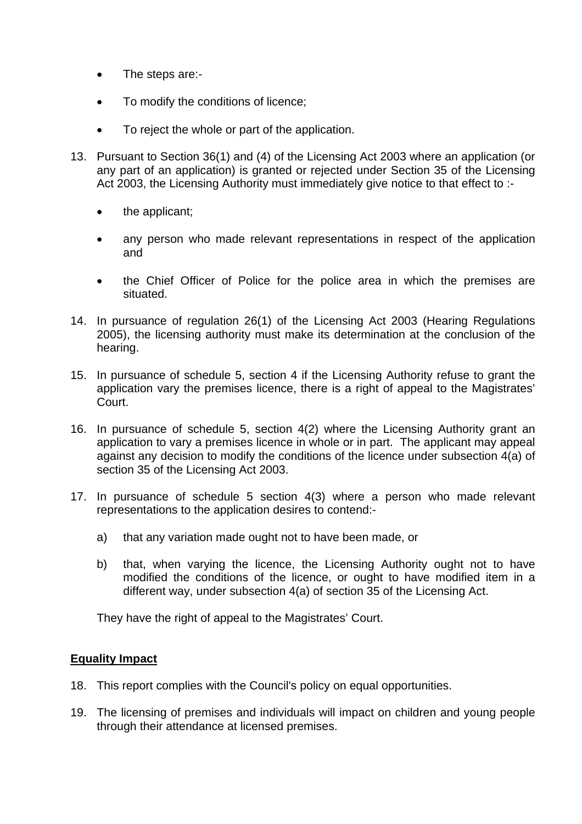- The steps are:-
- To modify the conditions of licence:
- To reject the whole or part of the application.
- 13. Pursuant to Section 36(1) and (4) of the Licensing Act 2003 where an application (or any part of an application) is granted or rejected under Section 35 of the Licensing Act 2003, the Licensing Authority must immediately give notice to that effect to :
	- the applicant;
	- any person who made relevant representations in respect of the application and
	- the Chief Officer of Police for the police area in which the premises are situated.
- 14. In pursuance of regulation 26(1) of the Licensing Act 2003 (Hearing Regulations 2005), the licensing authority must make its determination at the conclusion of the hearing.
- 15. In pursuance of schedule 5, section 4 if the Licensing Authority refuse to grant the application vary the premises licence, there is a right of appeal to the Magistrates' Court.
- 16. In pursuance of schedule 5, section 4(2) where the Licensing Authority grant an application to vary a premises licence in whole or in part. The applicant may appeal against any decision to modify the conditions of the licence under subsection 4(a) of section 35 of the Licensing Act 2003.
- 17. In pursuance of schedule 5 section 4(3) where a person who made relevant representations to the application desires to contend:
	- a) that any variation made ought not to have been made, or
	- b) that, when varying the licence, the Licensing Authority ought not to have modified the conditions of the licence, or ought to have modified item in a different way, under subsection 4(a) of section 35 of the Licensing Act.

They have the right of appeal to the Magistrates' Court.

### **Equality Impact**

- 18. This report complies with the Council's policy on equal opportunities.
- 19. The licensing of premises and individuals will impact on children and young people through their attendance at licensed premises.